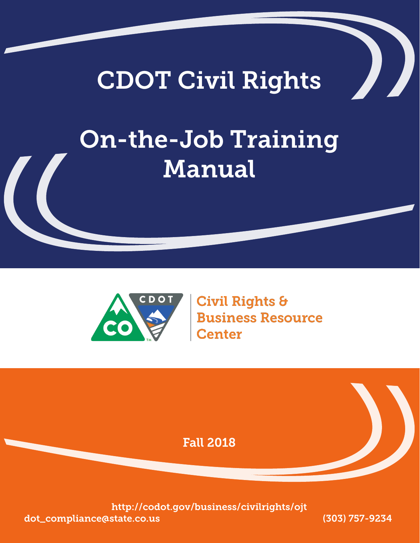# CDOT Civil Rights

# On-the-Job Training Manual



**Civil Rights & Business Resource Center** 

Fall 2018

http://codot.gov/business/civilrights/ojt dot\_compliance@state.co.us (303) 757-9234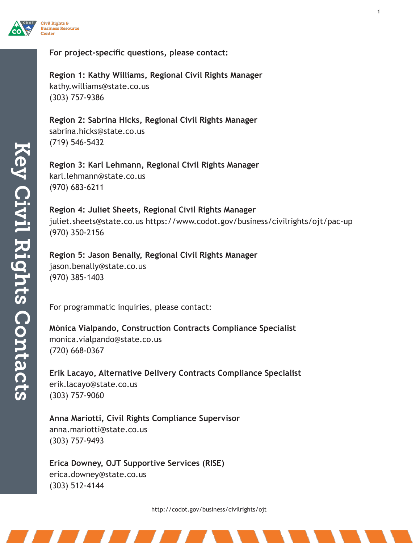

#### **For project-specific questions, please contact:**

**Region 1: Kathy Williams, Regional Civil Rights Manager** kathy.williams@state.co.us (303) 757-9386

**Region 2: Sabrina Hicks, Regional Civil Rights Manager** sabrina.hicks@state.co.us (719) 546-5432

**Region 3: Karl Lehmann, Regional Civil Rights Manager** karl.lehmann@state.co.us (970) 683-6211

**Region 4: Juliet Sheets, Regional Civil Rights Manager** juliet.sheets@state.co.us https://www.codot.gov/business/civilrights/ojt/pac-up (970) 350-2156

**Region 5: Jason Benally, Regional Civil Rights Manager** jason.benally@state.co.us (970) 385-1403

For programmatic inquiries, please contact:

**Mónica Vialpando, Construction Contracts Compliance Specialist** monica.vialpando@state.co.us (720) 668-0367

**Erik Lacayo, Alternative Delivery Contracts Compliance Specialist** erik.lacayo@state.co.us (303) 757-9060

**Anna Mariotti, Civil Rights Compliance Supervisor** anna.mariotti@state.co.us (303) 757-9493

**Erica Downey, OJT Supportive Services (RISE)** erica.downey@state.co.us (303) 512-4144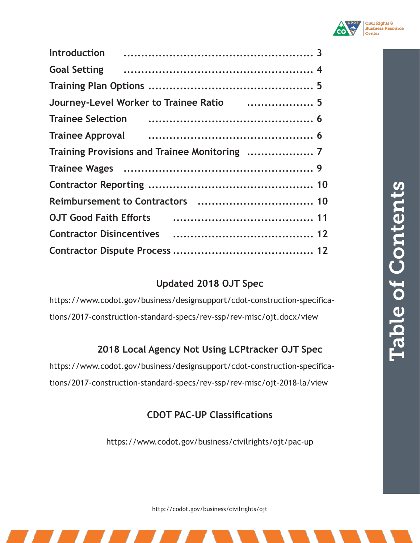| Journey-Level Worker to Trainee Ratio  5                                                                                                                                                                                             |  |
|--------------------------------------------------------------------------------------------------------------------------------------------------------------------------------------------------------------------------------------|--|
| Trainee Selection (and the continuum control of the Selection (6)                                                                                                                                                                    |  |
| Trainee Approval <b>contained a material contract and the Contract Contract Contract Contract Contract Contract Contract Contract Contract Contract Contract Contract Contract Contract Contract Contract Contract Contract Cont</b> |  |
|                                                                                                                                                                                                                                      |  |
|                                                                                                                                                                                                                                      |  |
|                                                                                                                                                                                                                                      |  |
|                                                                                                                                                                                                                                      |  |
| OJT Good Faith Efforts (and Contain the Cooler of 11                                                                                                                                                                                 |  |
|                                                                                                                                                                                                                                      |  |
|                                                                                                                                                                                                                                      |  |
|                                                                                                                                                                                                                                      |  |

# **Updated 2018 OJT Spec**

https://www.codot.gov/business/designsupport/cdot-construction-specifications/2017-construction-standard-specs/rev-ssp/rev-misc/ojt.docx/view

# **2018 Local Agency Not Using LCPtracker OJT Spec**

https://www.codot.gov/business/designsupport/cdot-construction-specifications/2017-construction-standard-specs/rev-ssp/rev-misc/ojt-2018-la/view

# **CDOT PAC-UP Classifications**

https://www.codot.gov/business/civilrights/ojt/pac-up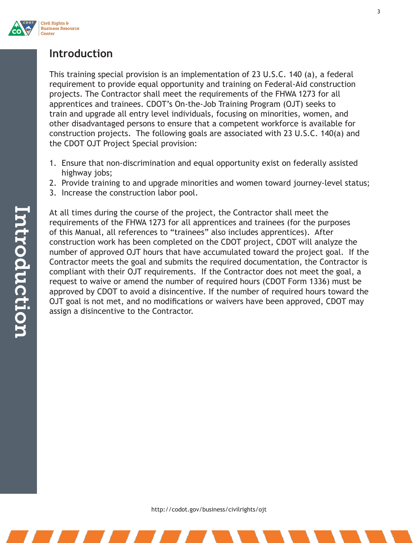

## **Introduction**

This training special provision is an implementation of 23 U.S.C. 140 (a), a federal requirement to provide equal opportunity and training on Federal-Aid construction projects. The Contractor shall meet the requirements of the FHWA 1273 for all apprentices and trainees. CDOT's On-the-Job Training Program (OJT) seeks to train and upgrade all entry level individuals, focusing on minorities, women, and other disadvantaged persons to ensure that a competent workforce is available for construction projects. The following goals are associated with 23 U.S.C. 140(a) and the CDOT OJT Project Special provision:

- 1. Ensure that non-discrimination and equal opportunity exist on federally assisted highway jobs;
- 2. Provide training to and upgrade minorities and women toward journey-level status;
- 3. Increase the construction labor pool.

At all times during the course of the project, the Contractor shall meet the requirements of the FHWA 1273 for all apprentices and trainees (for the purposes of this Manual, all references to "trainees" also includes apprentices). After construction work has been completed on the CDOT project, CDOT will analyze the number of approved OJT hours that have accumulated toward the project goal. If the Contractor meets the goal and submits the required documentation, the Contractor is compliant with their OJT requirements. If the Contractor does not meet the goal, a request to waive or amend the number of required hours (CDOT Form 1336) must be approved by CDOT to avoid a disincentive. If the number of required hours toward the OJT goal is not met, and no modifications or waivers have been approved, CDOT may assign a disincentive to the Contractor.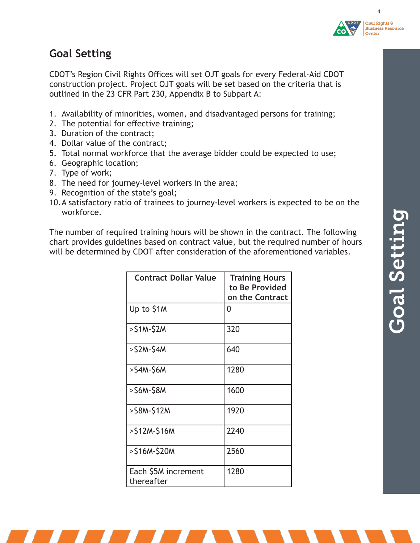

4

# **Goal Setting**

CDOT's Region Civil Rights Offices will set OJT goals for every Federal-Aid CDOT construction project. Project OJT goals will be set based on the criteria that is outlined in the 23 CFR Part 230, Appendix B to Subpart A:

- 1. Availability of minorities, women, and disadvantaged persons for training;
- 2. The potential for effective training;
- 3. Duration of the contract;
- 4. Dollar value of the contract;
- 5. Total normal workforce that the average bidder could be expected to use;
- 6. Geographic location;
- 7. Type of work;
- 8. The need for journey-level workers in the area;
- 9. Recognition of the state's goal;
- 10.A satisfactory ratio of trainees to journey-level workers is expected to be on the workforce.

The number of required training hours will be shown in the contract. The following chart provides guidelines based on contract value, but the required number of hours will be determined by CDOT after consideration of the aforementioned variables.

| <b>Contract Dollar Value</b>      | <b>Training Hours</b><br>to Be Provided<br>on the Contract |
|-----------------------------------|------------------------------------------------------------|
| Up to \$1M                        | 0                                                          |
| $>$ S1M-S2M                       | 320                                                        |
| $>$ \$2M-\$4M                     | 640                                                        |
| >\$4M-\$6M                        | 1280                                                       |
| >\$6M-\$8M                        | 1600                                                       |
| >S8M-S12M                         | 1920                                                       |
| >\$12M-\$16M                      | 2240                                                       |
| >\$16M-\$20M                      | 2560                                                       |
| Each \$5M increment<br>thereafter | 1280                                                       |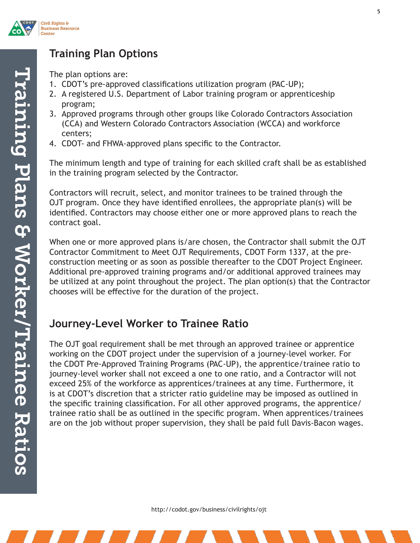

# **Training Plan Options**

The plan options are:

- 1. CDOT's pre-approved classifications utilization program (PAC-UP);
- 2. A registered U.S. Department of Labor training program or apprenticeship program;
- 3. Approved programs through other groups like Colorado Contractors Association (CCA) and Western Colorado Contractors Association (WCCA) and workforce centers;
- 4. CDOT- and FHWA-approved plans specific to the Contractor.

The minimum length and type of training for each skilled craft shall be as established in the training program selected by the Contractor.

Contractors will recruit, select, and monitor trainees to be trained through the OJT program. Once they have identified enrollees, the appropriate plan(s) will be identified. Contractors may choose either one or more approved plans to reach the contract goal.

When one or more approved plans is/are chosen, the Contractor shall submit the OJT Contractor Commitment to Meet OJT Requirements, CDOT Form 1337, at the preconstruction meeting or as soon as possible thereafter to the CDOT Project Engineer. Additional pre-approved training programs and/or additional approved trainees may be utilized at any point throughout the project. The plan option(s) that the Contractor chooses will be effective for the duration of the project.

## **Journey-Level Worker to Trainee Ratio**

The OJT goal requirement shall be met through an approved trainee or apprentice working on the CDOT project under the supervision of a journey-level worker. For the CDOT Pre-Approved Training Programs (PAC-UP), the apprentice/trainee ratio to journey-level worker shall not exceed a one to one ratio, and a Contractor will not exceed 25% of the workforce as apprentices/trainees at any time. Furthermore, it is at CDOT's discretion that a stricter ratio guideline may be imposed as outlined in the specific training classification. For all other approved programs, the apprentice/ trainee ratio shall be as outlined in the specific program. When apprentices/trainees are on the job without proper supervision, they shall be paid full Davis-Bacon wages.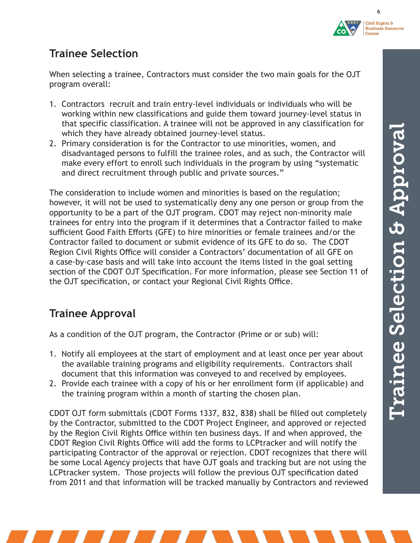



6

# **Trainee Selection**

When selecting a trainee, Contractors must consider the two main goals for the OJT program overall:

- 1. Contractors recruit and train entry-level individuals or individuals who will be working within new classifications and guide them toward journey-level status in that specific classification. A trainee will not be approved in any classification for which they have already obtained journey-level status.
- 2. Primary consideration is for the Contractor to use minorities, women, and disadvantaged persons to fulfill the trainee roles, and as such, the Contractor will make every effort to enroll such individuals in the program by using "systematic and direct recruitment through public and private sources."

The consideration to include women and minorities is based on the regulation; however, it will not be used to systematically deny any one person or group from the opportunity to be a part of the OJT program. CDOT may reject non-minority male trainees for entry into the program if it determines that a Contractor failed to make sufficient Good Faith Efforts (GFE) to hire minorities or female trainees and/or the Contractor failed to document or submit evidence of its GFE to do so. The CDOT Region Civil Rights Office will consider a Contractors' documentation of all GFE on a case-by-case basis and will take into account the items listed in the goal setting section of the CDOT OJT Specification. For more information, please see Section 11 of the OJT specification, or contact your Regional Civil Rights Office.

# **Trainee Approval**

As a condition of the OJT program, the Contractor (Prime or or sub) will:

- 1. Notify all employees at the start of employment and at least once per year about the available training programs and eligibility requirements. Contractors shall document that this information was conveyed to and received by employees.
- 2. Provide each trainee with a copy of his or her enrollment form (if applicable) and the training program within a month of starting the chosen plan.

CDOT OJT form submittals (CDOT Forms 1337, 832, 838) shall be filled out completely by the Contractor, submitted to the CDOT Project Engineer, and approved or rejected by the Region Civil Rights Office within ten business days. If and when approved, the CDOT Region Civil Rights Office will add the forms to LCPtracker and will notify the participating Contractor of the approval or rejection. CDOT recognizes that there will be some Local Agency projects that have OJT goals and tracking but are not using the LCPtracker system. Those projects will follow the previous OJT specification dated from 2011 and that information will be tracked manually by Contractors and reviewed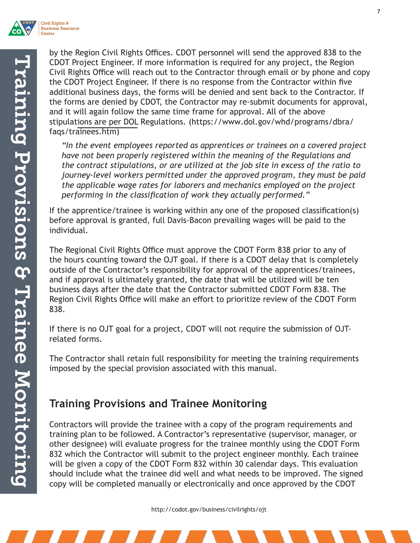

by the Region Civil Rights Offices. CDOT personnel will send the approved 838 to the CDOT Project Engineer. If more information is required for any project, the Region Civil Rights Office will reach out to the Contractor through email or by phone and copy the CDOT Project Engineer. If there is no response from the Contractor within five additional business days, the forms will be denied and sent back to the Contractor. If the forms are denied by CDOT, the Contractor may re-submit documents for approval, and it will again follow the same time frame for approval. All of the above stipulat[ions are per DOL](https://www.dol.gov/whd/programs/dbra/faqs/trainees.htm) Regulations. (https://www.dol.gov/whd/programs/dbra/ faqs/trainees.htm)

*"In the event employees reported as apprentices or trainees on a covered project have not been properly registered within the meaning of the Regulations and the contract stipulations, or are utilized at the job site in excess of the ratio to journey-level workers permitted under the approved program, they must be paid the applicable wage rates for laborers and mechanics employed on the project performing in the classification of work they actually performed."* 

If the apprentice/trainee is working within any one of the proposed classification(s) before approval is granted, full Davis-Bacon prevailing wages will be paid to the individual.

The Regional Civil Rights Office must approve the CDOT Form 838 prior to any of the hours counting toward the OJT goal. If there is a CDOT delay that is completely outside of the Contractor's responsibility for approval of the apprentices/trainees, and if approval is ultimately granted, the date that will be utilized will be ten business days after the date that the Contractor submitted CDOT Form 838. The Region Civil Rights Office will make an effort to prioritize review of the CDOT Form 838.

If there is no OJT goal for a project, CDOT will not require the submission of OJTrelated forms.

The Contractor shall retain full responsibility for meeting the training requirements imposed by the special provision associated with this manual.

# **Training Provisions and Trainee Monitoring**

Contractors will provide the trainee with a copy of the program requirements and training plan to be followed. A Contractor's representative (supervisor, manager, or other designee) will evaluate progress for the trainee monthly using the CDOT Form 832 which the Contractor will submit to the project engineer monthly. Each trainee will be given a copy of the CDOT Form 832 within 30 calendar days. This evaluation should include what the trainee did well and what needs to be improved. The signed copy will be completed manually or electronically and once approved by the CDOT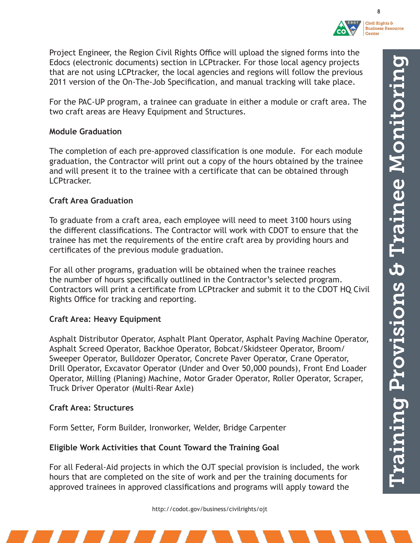

Civil Rights & **Business Resource Center** 

8

Project Engineer, the Region Civil Rights Office will upload the signed forms into the Edocs (electronic documents) section in LCPtracker. For those local agency projects that are not using LCPtracker, the local agencies and regions will follow the previous 2011 version of the On-The-Job Specification, and manual tracking will take place.

For the PAC-UP program, a trainee can graduate in either a module or craft area. The two craft areas are Heavy Equipment and Structures.

#### **Module Graduation**

The completion of each pre-approved classification is one module. For each module graduation, the Contractor will print out a copy of the hours obtained by the trainee and will present it to the trainee with a certificate that can be obtained through LCPtracker.

#### **Craft Area Graduation**

To graduate from a craft area, each employee will need to meet 3100 hours using the different classifications. The Contractor will work with CDOT to ensure that the trainee has met the requirements of the entire craft area by providing hours and certificates of the previous module graduation.

For all other programs, graduation will be obtained when the trainee reaches the number of hours specifically outlined in the Contractor's selected program. Contractors will print a certificate from LCPtracker and submit it to the CDOT HQ Civil Rights Office for tracking and reporting.

#### **Craft Area: Heavy Equipment**

Asphalt Distributor Operator, Asphalt Plant Operator, Asphalt Paving Machine Operator, Asphalt Screed Operator, Backhoe Operator, Bobcat/Skidsteer Operator, Broom/ Sweeper Operator, Bulldozer Operator, Concrete Paver Operator, Crane Operator, Drill Operator, Excavator Operator (Under and Over 50,000 pounds), Front End Loader Operator, Milling (Planing) Machine, Motor Grader Operator, Roller Operator, Scraper, Truck Driver Operator (Multi-Rear Axle)

#### **Craft Area: Structures**

Form Setter, Form Builder, Ironworker, Welder, Bridge Carpenter

#### **Eligible Work Activities that Count Toward the Training Goal**

For all Federal-Aid projects in which the OJT special provision is included, the work hours that are completed on the site of work and per the training documents for approved trainees in approved classifications and programs will apply toward the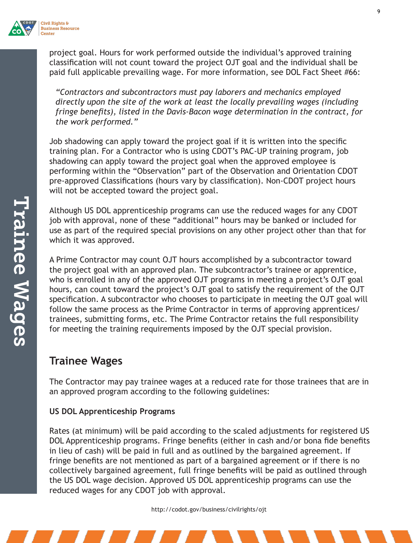

project goal. Hours for work performed outside the individual's approved training classification will not count toward the project OJT goal and the individual shall be paid full applicable prevailing wage. For more information, see DOL Fact Sheet #66:

*"Contractors and subcontractors must pay laborers and mechanics employed directly upon the site of the work at least the locally prevailing wages (including fringe benefits), listed in the Davis-Bacon wage determination in the contract, for the work performed."*

Job shadowing can apply toward the project goal if it is written into the specific training plan. For a Contractor who is using CDOT's PAC-UP training program, job shadowing can apply toward the project goal when the approved employee is performing within the "Observation" part of the Observation and Orientation CDOT pre-approved Classifications (hours vary by classification). Non-CDOT project hours will not be accepted toward the project goal.

Although US DOL apprenticeship programs can use the reduced wages for any CDOT job with approval, none of these "additional" hours may be banked or included for use as part of the required special provisions on any other project other than that for which it was approved.

A Prime Contractor may count OJT hours accomplished by a subcontractor toward the project goal with an approved plan. The subcontractor's trainee or apprentice, who is enrolled in any of the approved OJT programs in meeting a project's OJT goal hours, can count toward the project's OJT goal to satisfy the requirement of the OJT specification. A subcontractor who chooses to participate in meeting the OJT goal will follow the same process as the Prime Contractor in terms of approving apprentices/ trainees, submitting forms, etc. The Prime Contractor retains the full responsibility for meeting the training requirements imposed by the OJT special provision.

## **Trainee Wages**

The Contractor may pay trainee wages at a reduced rate for those trainees that are in an approved program according to the following guidelines:

#### **US DOL Apprenticeship Programs**

Rates (at minimum) will be paid according to the scaled adjustments for registered US DOL Apprenticeship programs. Fringe benefits (either in cash and/or bona fide benefits in lieu of cash) will be paid in full and as outlined by the bargained agreement. If fringe benefits are not mentioned as part of a bargained agreement or if there is no collectively bargained agreement, full fringe benefits will be paid as outlined through the US DOL wage decision. Approved US DOL apprenticeship programs can use the reduced wages for any CDOT job with approval.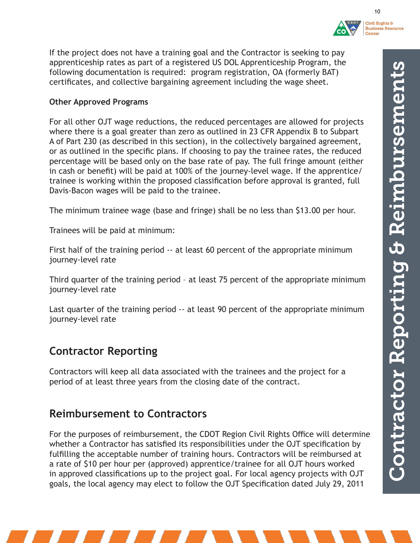



10

If the project does not have a training goal and the Contractor is seeking to pay apprenticeship rates as part of a registered US DOL Apprenticeship Program, the following documentation is required: program registration, OA (formerly BAT) certificates, and collective bargaining agreement including the wage sheet.

#### **Other Approved Programs**

For all other OJT wage reductions, the reduced percentages are allowed for projects where there is a goal greater than zero as outlined in 23 CFR Appendix B to Subpart A of Part 230 (as described in this section), in the collectively bargained agreement, or as outlined in the specific plans. If choosing to pay the trainee rates, the reduced percentage will be based only on the base rate of pay. The full fringe amount (either in cash or benefit) will be paid at 100% of the journey-level wage. If the apprentice/ trainee is working within the proposed classification before approval is granted, full Davis-Bacon wages will be paid to the trainee.

The minimum trainee wage (base and fringe) shall be no less than \$13.00 per hour.

Trainees will be paid at minimum:

First half of the training period -- at least 60 percent of the appropriate minimum journey-level rate

Third quarter of the training period – at least 75 percent of the appropriate minimum journey-level rate

Last quarter of the training period -- at least 90 percent of the appropriate minimum journey-level rate

## **Contractor Reporting**

Contractors will keep all data associated with the trainees and the project for a period of at least three years from the closing date of the contract.

### **Reimbursement to Contractors**

For the purposes of reimbursement, the CDOT Region Civil Rights Office will determine whether a Contractor has satisfied its responsibilities under the OJT specification by fulfilling the acceptable number of training hours. Contractors will be reimbursed at a rate of \$10 per hour per (approved) apprentice/trainee for all OJT hours worked in approved classifications up to the project goal. For local agency projects with OJT goals, the local agency may elect to follow the OJT Specification dated July 29, 2011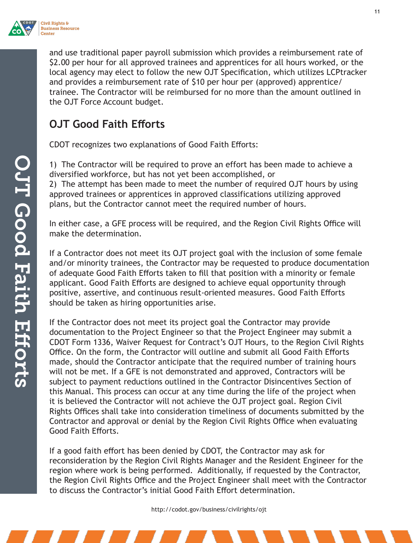

and use traditional paper payroll submission which provides a reimbursement rate of \$2.00 per hour for all approved trainees and apprentices for all hours worked, or the local agency may elect to follow the new OJT Specification, which utilizes LCPtracker and provides a reimbursement rate of \$10 per hour per (approved) apprentice/ trainee. The Contractor will be reimbursed for no more than the amount outlined in the OJT Force Account budget.

# **OJT Good Faith Efforts**

CDOT recognizes two explanations of Good Faith Efforts:

1) The Contractor will be required to prove an effort has been made to achieve a diversified workforce, but has not yet been accomplished, or 2) The attempt has been made to meet the number of required OJT hours by using approved trainees or apprentices in approved classifications utilizing approved plans, but the Contractor cannot meet the required number of hours.

In either case, a GFE process will be required, and the Region Civil Rights Office will make the determination.

If a Contractor does not meet its OJT project goal with the inclusion of some female and/or minority trainees, the Contractor may be requested to produce documentation of adequate Good Faith Efforts taken to fill that position with a minority or female applicant. Good Faith Efforts are designed to achieve equal opportunity through positive, assertive, and continuous result-oriented measures. Good Faith Efforts should be taken as hiring opportunities arise.

If the Contractor does not meet its project goal the Contractor may provide documentation to the Project Engineer so that the Project Engineer may submit a CDOT Form 1336, Waiver Request for Contract's OJT Hours, to the Region Civil Rights Office. On the form, the Contractor will outline and submit all Good Faith Efforts made, should the Contractor anticipate that the required number of training hours will not be met. If a GFE is not demonstrated and approved, Contractors will be subject to payment reductions outlined in the Contractor Disincentives Section of this Manual. This process can occur at any time during the life of the project when it is believed the Contractor will not achieve the OJT project goal. Region Civil Rights Offices shall take into consideration timeliness of documents submitted by the Contractor and approval or denial by the Region Civil Rights Office when evaluating Good Faith Efforts.

If a good faith effort has been denied by CDOT, the Contractor may ask for reconsideration by the Region Civil Rights Manager and the Resident Engineer for the region where work is being performed. Additionally, if requested by the Contractor, the Region Civil Rights Office and the Project Engineer shall meet with the Contractor to discuss the Contractor's initial Good Faith Effort determination.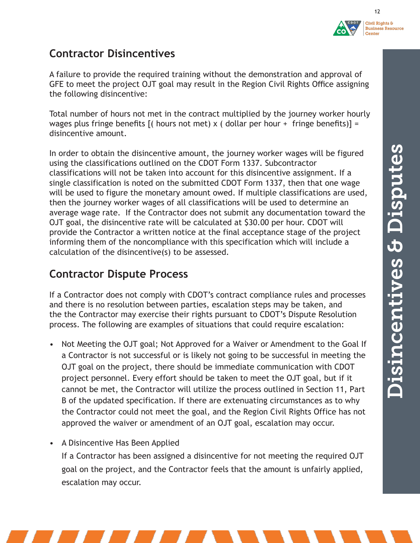



## **Contractor Disincentives**

A failure to provide the required training without the demonstration and approval of GFE to meet the project OJT goal may result in the Region Civil Rights Office assigning the following disincentive:

Total number of hours not met in the contract multiplied by the journey worker hourly wages plus fringe benefits  $[($  hours not met) x  $($  dollar per hour + fringe benefits) $] =$ disincentive amount.

In order to obtain the disincentive amount, the journey worker wages will be figured using the classifications outlined on the CDOT Form 1337. Subcontractor classifications will not be taken into account for this disincentive assignment. If a single classification is noted on the submitted CDOT Form 1337, then that one wage will be used to figure the monetary amount owed. If multiple classifications are used, then the journey worker wages of all classifications will be used to determine an average wage rate. If the Contractor does not submit any documentation toward the OJT goal, the disincentive rate will be calculated at \$30.00 per hour. CDOT will provide the Contractor a written notice at the final acceptance stage of the project informing them of the noncompliance with this specification which will include a calculation of the disincentive(s) to be assessed.

# **Contractor Dispute Process**

If a Contractor does not comply with CDOT's contract compliance rules and processes and there is no resolution between parties, escalation steps may be taken, and the the Contractor may exercise their rights pursuant to CDOT's Dispute Resolution process. The following are examples of situations that could require escalation:

- Not Meeting the OJT goal; Not Approved for a Waiver or Amendment to the Goal If a Contractor is not successful or is likely not going to be successful in meeting the OJT goal on the project, there should be immediate communication with CDOT project personnel. Every effort should be taken to meet the OJT goal, but if it cannot be met, the Contractor will utilize the process outlined in Section 11, Part B of the updated specification. If there are extenuating circumstances as to why the Contractor could not meet the goal, and the Region Civil Rights Office has not approved the waiver or amendment of an OJT goal, escalation may occur.
- A Disincentive Has Been Applied

If a Contractor has been assigned a disincentive for not meeting the required OJT goal on the project, and the Contractor feels that the amount is unfairly applied, escalation may occur.